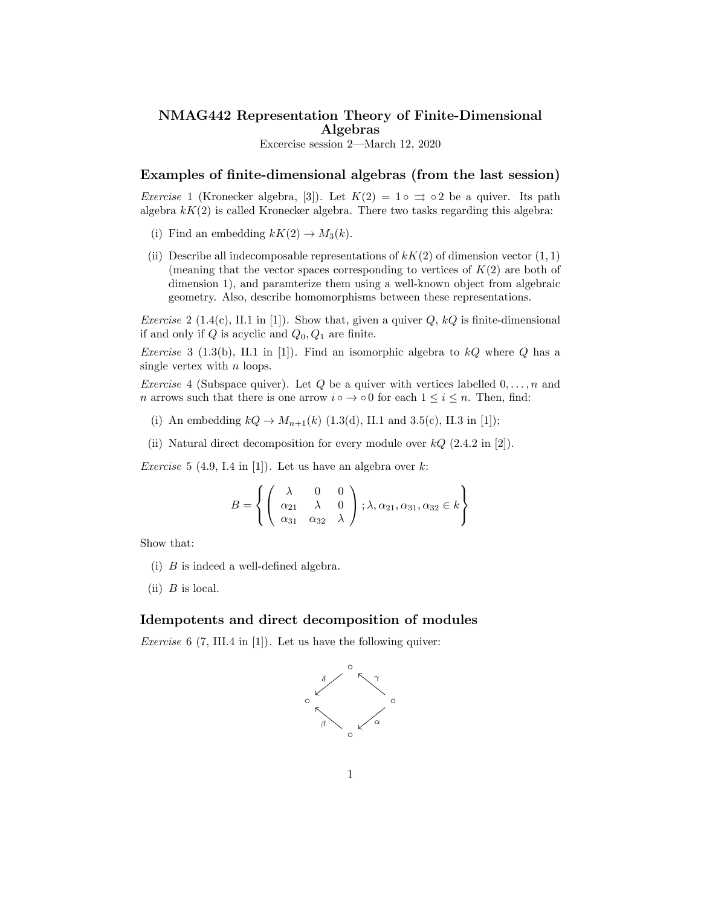## NMAG442 Representation Theory of Finite-Dimensional Algebras

Excercise session 2—March 12, 2020

## Examples of finite-dimensional algebras (from the last session)

*Exercise* 1 (Kronecker algebra, [3]). Let  $K(2) = 1 \circ \Rightarrow \circ 2$  be a quiver. Its path algebra  $kK(2)$  is called Kronecker algebra. There two tasks regarding this algebra:

- (i) Find an embedding  $kK(2) \rightarrow M_3(k)$ .
- (ii) Describe all indecomposable representations of  $kK(2)$  of dimension vector  $(1,1)$ (meaning that the vector spaces corresponding to vertices of *K*(2) are both of dimension 1), and paramterize them using a well-known object from algebraic geometry. Also, describe homomorphisms between these representations.

*Exercise* 2 (1.4(c), II.1 in [1])*.* Show that, given a quiver *Q*, *kQ* is finite-dimensional if and only if *Q* is acyclic and *Q*0*, Q*<sup>1</sup> are finite.

*Exercise* 3 (1.3(b), II.1 in [1])*.* Find an isomorphic algebra to *kQ* where *Q* has a single vertex with *n* loops.

*Exercise* 4 (Subspace quiver). Let *Q* be a quiver with vertices labelled  $0, \ldots, n$  and *n* arrows such that there is one arrow  $i \circ \rightarrow \circ 0$  for each  $1 \leq i \leq n$ . Then, find:

- (i) An embedding  $kQ \to M_{n+1}(k)$  (1.3(d), II.1 and 3.5(c), II.3 in [1]);
- (ii) Natural direct decomposition for every module over *kQ* (2.4.2 in [2]).

*Exercise* 5 (4.9, I.4 in [1]). Let us have an algebra over  $k$ :

$$
B = \left\{ \left( \begin{array}{ccc} \lambda & 0 & 0 \\ \alpha_{21} & \lambda & 0 \\ \alpha_{31} & \alpha_{32} & \lambda \end{array} \right) ; \lambda, \alpha_{21}, \alpha_{31}, \alpha_{32} \in k \right\}
$$

Show that:

- (i) *B* is indeed a well-defined algebra.
- (ii) *B* is local.

## Idempotents and direct decomposition of modules

*Exercise* 6 (7, III.4 in [1])*.* Let us have the following quiver:

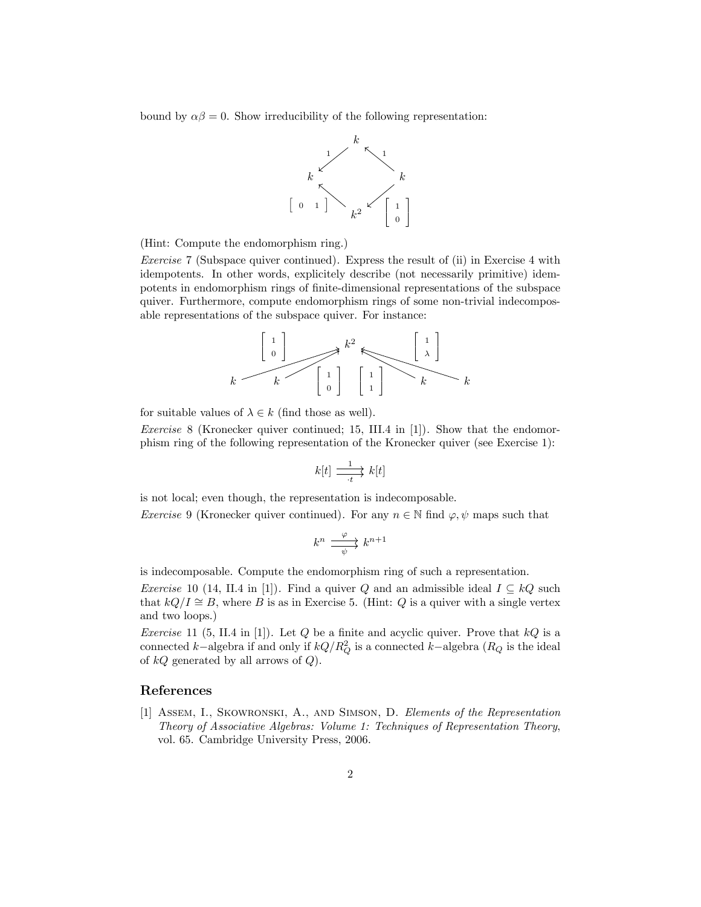bound by  $\alpha\beta = 0$ . Show irreducibility of the following representation:



(Hint: Compute the endomorphism ring.)

*Exercise* 7 (Subspace quiver continued)*.* Express the result of (ii) in Exercise 4 with idempotents. In other words, explicitely describe (not necessarily primitive) idempotents in endomorphism rings of finite-dimensional representations of the subspace quiver. Furthermore, compute endomorphism rings of some non-trivial indecomposable representations of the subspace quiver. For instance:



for suitable values of  $\lambda \in k$  (find those as well).

*Exercise* 8 (Kronecker quiver continued; 15, III.4 in [1])*.* Show that the endomorphism ring of the following representation of the Kronecker quiver (see Exercise 1):

$$
k[t] \xrightarrow[t]{1} k[t]
$$

is not local; even though, the representation is indecomposable.

*Exercise* 9 (Kronecker quiver continued). For any  $n \in \mathbb{N}$  find  $\varphi, \psi$  maps such that

$$
k^n \xrightarrow[\psi]{\varphi} k^{n+1}
$$

is indecomposable. Compute the endomorphism ring of such a representation.

*Exercise* 10 (14, II.4 in [1]). Find a quiver *Q* and an admissible ideal  $I \subseteq kQ$  such that  $kQ/I \cong B$ , where *B* is as in Exercise 5. (Hint: *Q* is a quiver with a single vertex and two loops.)

*Exercise* 11 (5, II.4 in [1])*.* Let *Q* be a finite and acyclic quiver. Prove that *kQ* is a connected *k*−algebra if and only if  $kQ/R_Q^2$  is a connected *k*−algebra ( $R_Q$  is the ideal of *kQ* generated by all arrows of *Q*).

## References

[1] Assem, I., Skowronski, A., and Simson, D. *Elements of the Representation Theory of Associative Algebras: Volume 1: Techniques of Representation Theory*, vol. 65. Cambridge University Press, 2006.